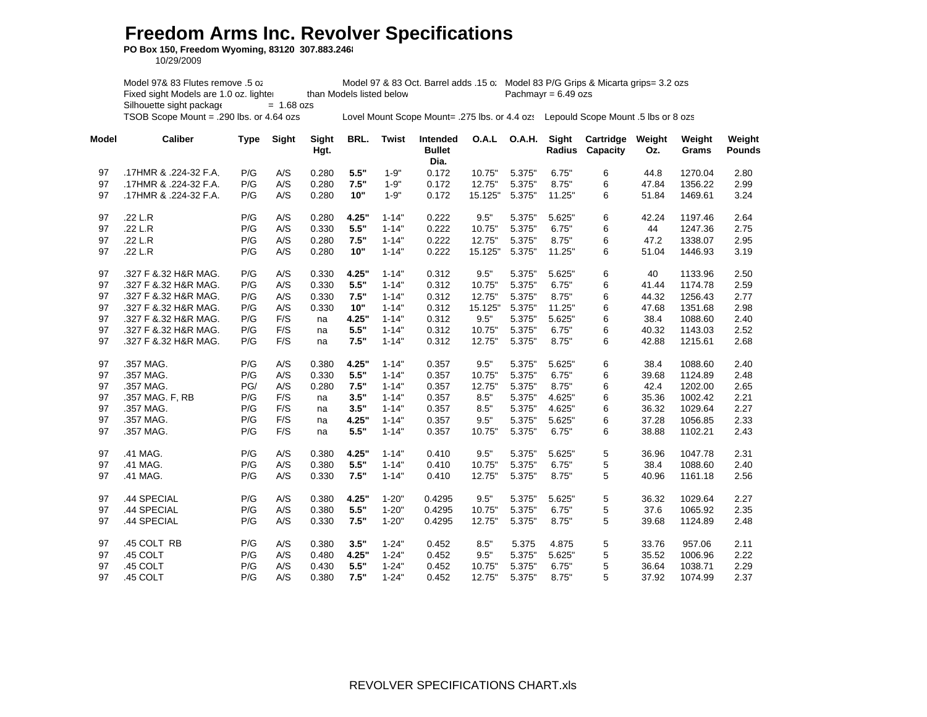## **Freedom Arms Inc. Revolver Specifications**

**PO Box 150, Freedom Wyoming, 83120 307.883.2468**

10/29/2009

Model 97& 83 Flutes remove .5 oz Model 97 & 83 Oct. Barrel adds .15 oz Model 83 P/G Grips & Micarta grips= 3.2 ozs Fixed sight Models are 1.0 oz. lighter than Models listed below Pachmayr =  $6.49$  ozs  $Silhouette sight package =  $1.68$  ozs$ TSOB Scope Mount = .290 lbs. or 4.64 ozs Lovel Mount Scope Mount= .275 lbs. or 4.4 ozs Lepould Scope Mount .5 lbs or 8 ozs

| Model | <b>Caliber</b>        | Type | Sight | Sight<br>Hgt. | BRL.  | Twist     | <b>Intended</b><br><b>Bullet</b><br>Dia. | O.A.L   | O.A.H. | Sight<br>Radius | Cartridge<br>Capacity | Weight<br>Oz. | Weight<br>Grams | Weight<br>Pounds |
|-------|-----------------------|------|-------|---------------|-------|-----------|------------------------------------------|---------|--------|-----------------|-----------------------|---------------|-----------------|------------------|
| 97    | .17HMR & .224-32 F.A. | P/G  | A/S   | 0.280         | 5.5"  | $1 - 9"$  | 0.172                                    | 10.75"  | 5.375" | 6.75"           | 6                     | 44.8          | 1270.04         | 2.80             |
| 97    | .17HMR & .224-32 F.A. | P/G  | A/S   | 0.280         | 7.5"  | $1 - 9"$  | 0.172                                    | 12.75"  | 5.375" | 8.75"           | 6                     | 47.84         | 1356.22         | 2.99             |
| 97    | .17HMR & .224-32 F.A. | P/G  | A/S   | 0.280         | 10"   | $1 - 9"$  | 0.172                                    | 15.125" | 5.375" | 11.25"          | 6                     | 51.84         | 1469.61         | 3.24             |
| 97    | .22 L.R               | P/G  | A/S   | 0.280         | 4.25" | $1 - 14"$ | 0.222                                    | 9.5"    | 5.375" | 5.625"          | 6                     | 42.24         | 1197.46         | 2.64             |
| 97    | .22 L.R               | P/G  | A/S   | 0.330         | 5.5"  | $1 - 14"$ | 0.222                                    | 10.75"  | 5.375" | 6.75"           | 6                     | 44            | 1247.36         | 2.75             |
| 97    | .22 L.R               | P/G  | A/S   | 0.280         | 7.5"  | $1 - 14"$ | 0.222                                    | 12.75"  | 5.375" | 8.75"           | 6                     | 47.2          | 1338.07         | 2.95             |
| 97    | .22 L.R               | P/G  | A/S   | 0.280         | 10"   | $1 - 14"$ | 0.222                                    | 15.125" | 5.375" | 11.25"          | 6                     | 51.04         | 1446.93         | 3.19             |
| 97    | .327 F & 32 H&R MAG.  | P/G  | A/S   | 0.330         | 4.25" | $1 - 14"$ | 0.312                                    | 9.5"    | 5.375" | 5.625"          | 6                     | 40            | 1133.96         | 2.50             |
| 97    | .327 F & 32 H&R MAG.  | P/G  | A/S   | 0.330         | 5.5"  | $1 - 14"$ | 0.312                                    | 10.75"  | 5.375" | 6.75"           | 6                     | 41.44         | 1174.78         | 2.59             |
| 97    | .327 F & 32 H&R MAG.  | P/G  | A/S   | 0.330         | 7.5"  | $1 - 14"$ | 0.312                                    | 12.75"  | 5.375" | 8.75"           | 6                     | 44.32         | 1256.43         | 2.77             |
| 97    | .327 F & 32 H&R MAG.  | P/G  | A/S   | 0.330         | 10"   | $1 - 14"$ | 0.312                                    | 15.125" | 5.375" | 11.25"          | 6                     | 47.68         | 1351.68         | 2.98             |
| 97    | .327 F & 32 H&R MAG.  | P/G  | F/S   | na            | 4.25" | $1 - 14"$ | 0.312                                    | 9.5"    | 5.375" | 5.625"          | 6                     | 38.4          | 1088.60         | 2.40             |
| 97    | .327 F & 32 H&R MAG.  | P/G  | F/S   | na            | 5.5"  | $1 - 14"$ | 0.312                                    | 10.75"  | 5.375" | 6.75"           | 6                     | 40.32         | 1143.03         | 2.52             |
| 97    | .327 F & 32 H&R MAG.  | P/G  | F/S   | na            | 7.5"  | $1 - 14"$ | 0.312                                    | 12.75"  | 5.375" | 8.75"           | 6                     | 42.88         | 1215.61         | 2.68             |
| 97    | .357 MAG.             | P/G  | A/S   | 0.380         | 4.25" | $1 - 14"$ | 0.357                                    | 9.5"    | 5.375" | 5.625"          | 6                     | 38.4          | 1088.60         | 2.40             |
| 97    | .357 MAG.             | P/G  | A/S   | 0.330         | 5.5"  | $1 - 14"$ | 0.357                                    | 10.75"  | 5.375" | 6.75"           | 6                     | 39.68         | 1124.89         | 2.48             |
| 97    | .357 MAG.             | PG/  | A/S   | 0.280         | 7.5"  | $1 - 14"$ | 0.357                                    | 12.75"  | 5.375" | 8.75"           | 6                     | 42.4          | 1202.00         | 2.65             |
| 97    | .357 MAG. F, RB       | P/G  | F/S   | na            | 3.5"  | $1 - 14"$ | 0.357                                    | 8.5"    | 5.375" | 4.625"          | 6                     | 35.36         | 1002.42         | 2.21             |
| 97    | .357 MAG.             | P/G  | F/S   | na            | 3.5"  | $1 - 14"$ | 0.357                                    | 8.5"    | 5.375" | 4.625"          | 6                     | 36.32         | 1029.64         | 2.27             |
| 97    | .357 MAG.             | P/G  | F/S   | na            | 4.25" | $1 - 14"$ | 0.357                                    | 9.5"    | 5.375" | 5.625"          | 6                     | 37.28         | 1056.85         | 2.33             |
| 97    | .357 MAG.             | P/G  | F/S   | na            | 5.5"  | $1 - 14"$ | 0.357                                    | 10.75"  | 5.375" | 6.75"           | 6                     | 38.88         | 1102.21         | 2.43             |
| 97    | .41 MAG.              | P/G  | A/S   | 0.380         | 4.25" | $1 - 14"$ | 0.410                                    | 9.5"    | 5.375" | 5.625"          | 5                     | 36.96         | 1047.78         | 2.31             |
| 97    | .41 MAG.              | P/G  | A/S   | 0.380         | 5.5"  | $1 - 14"$ | 0.410                                    | 10.75"  | 5.375" | 6.75"           | 5                     | 38.4          | 1088.60         | 2.40             |
| 97    | .41 MAG.              | P/G  | A/S   | 0.330         | 7.5"  | $1 - 14"$ | 0.410                                    | 12.75"  | 5.375" | 8.75"           | 5                     | 40.96         | 1161.18         | 2.56             |
| 97    | .44 SPECIAL           | P/G  | A/S   | 0.380         | 4.25" | $1 - 20"$ | 0.4295                                   | 9.5"    | 5.375" | 5.625"          | 5                     | 36.32         | 1029.64         | 2.27             |
| 97    | .44 SPECIAL           | P/G  | A/S   | 0.380         | 5.5"  | $1 - 20"$ | 0.4295                                   | 10.75"  | 5.375" | 6.75"           | 5                     | 37.6          | 1065.92         | 2.35             |
| 97    | .44 SPECIAL           | P/G  | A/S   | 0.330         | 7.5"  | $1 - 20"$ | 0.4295                                   | 12.75"  | 5.375" | 8.75"           | 5                     | 39.68         | 1124.89         | 2.48             |
| 97    | .45 COLT RB           | P/G  | A/S   | 0.380         | 3.5"  | $1 - 24"$ | 0.452                                    | 8.5"    | 5.375  | 4.875           | 5                     | 33.76         | 957.06          | 2.11             |
| 97    | .45 COLT              | P/G  | A/S   | 0.480         | 4.25" | $1 - 24"$ | 0.452                                    | 9.5"    | 5.375" | 5.625"          | 5                     | 35.52         | 1006.96         | 2.22             |
| 97    | .45 COLT              | P/G  | A/S   | 0.430         | 5.5"  | $1 - 24"$ | 0.452                                    | 10.75"  | 5.375" | 6.75"           | 5                     | 36.64         | 1038.71         | 2.29             |
| 97    | .45 COLT              | P/G  | A/S   | 0.380         | 7.5"  | $1 - 24"$ | 0.452                                    | 12.75"  | 5.375" | 8.75"           | 5                     | 37.92         | 1074.99         | 2.37             |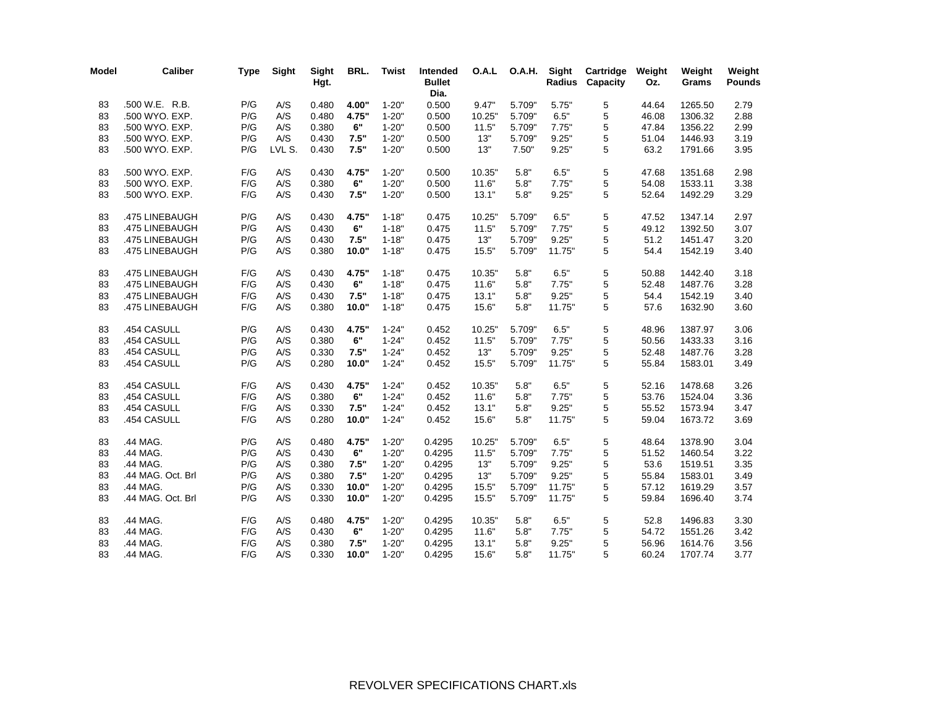| Model | <b>Caliber</b>    | <b>Type</b> | Sight  | <b>Sight</b><br>Hgt. | BRL.  | <b>Twist</b> | Intended<br><b>Bullet</b><br>Dia. | O.A.L  |        | O.A.H. Sight<br>Radius | Cartridge<br>Capacity | Weight<br>Oz. | Weight<br>Grams | Weight<br><b>Pounds</b> |
|-------|-------------------|-------------|--------|----------------------|-------|--------------|-----------------------------------|--------|--------|------------------------|-----------------------|---------------|-----------------|-------------------------|
| 83    | .500 W.E. R.B.    | P/G         | A/S    | 0.480                | 4.00" | $1 - 20"$    | 0.500                             | 9.47"  | 5.709" | 5.75"                  | 5                     | 44.64         | 1265.50         | 2.79                    |
| 83    | .500 WYO. EXP.    | P/G         | A/S    | 0.480                | 4.75" | $1 - 20"$    | 0.500                             | 10.25" | 5.709" | 6.5"                   | 5                     | 46.08         | 1306.32         | 2.88                    |
| 83    | .500 WYO. EXP.    | P/G         | A/S    | 0.380                | 6"    | $1 - 20"$    | 0.500                             | 11.5"  | 5.709" | 7.75"                  | 5                     | 47.84         | 1356.22         | 2.99                    |
| 83    | .500 WYO. EXP.    | P/G         | A/S    | 0.430                | 7.5"  | $1 - 20"$    | 0.500                             | 13"    | 5.709" | 9.25"                  | 5                     | 51.04         | 1446.93         | 3.19                    |
| 83    | .500 WYO. EXP.    | P/G         | LVL S. | 0.430                | 7.5"  | $1 - 20"$    | 0.500                             | 13"    | 7.50"  | 9.25"                  | 5                     | 63.2          | 1791.66         | 3.95                    |
| 83    | .500 WYO. EXP.    | F/G         | A/S    | 0.430                | 4.75" | $1 - 20"$    | 0.500                             | 10.35" | 5.8"   | 6.5"                   | 5                     | 47.68         | 1351.68         | 2.98                    |
| 83    | .500 WYO. EXP.    | F/G         | A/S    | 0.380                | 6"    | $1 - 20"$    | 0.500                             | 11.6"  | 5.8"   | 7.75"                  | 5                     | 54.08         | 1533.11         | 3.38                    |
| 83    | .500 WYO. EXP.    | F/G         | A/S    | 0.430                | 7.5"  | $1 - 20"$    | 0.500                             | 13.1"  | 5.8"   | 9.25"                  | 5                     | 52.64         | 1492.29         | 3.29                    |
| 83    | .475 LINEBAUGH    | P/G         | A/S    | 0.430                | 4.75" | $1 - 18"$    | 0.475                             | 10.25" | 5.709" | 6.5"                   | 5                     | 47.52         | 1347.14         | 2.97                    |
| 83    | .475 LINEBAUGH    | P/G         | A/S    | 0.430                | 6"    | $1 - 18"$    | 0.475                             | 11.5"  | 5.709" | 7.75"                  | 5                     | 49.12         | 1392.50         | 3.07                    |
| 83    | .475 LINEBAUGH    | P/G         | A/S    | 0.430                | 7.5"  | $1 - 18"$    | 0.475                             | 13"    | 5.709" | 9.25"                  | 5                     | 51.2          | 1451.47         | 3.20                    |
| 83    | .475 LINEBAUGH    | P/G         | A/S    | 0.380                | 10.0" | $1 - 18"$    | 0.475                             | 15.5"  | 5.709" | 11.75"                 | 5                     | 54.4          | 1542.19         | 3.40                    |
| 83    | .475 LINEBAUGH    | F/G         | A/S    | 0.430                | 4.75" | $1 - 18"$    | 0.475                             | 10.35" | 5.8"   | 6.5"                   | 5                     | 50.88         | 1442.40         | 3.18                    |
| 83    | .475 LINEBAUGH    | F/G         | A/S    | 0.430                | 6"    | $1 - 18"$    | 0.475                             | 11.6"  | 5.8"   | 7.75"                  | 5                     | 52.48         | 1487.76         | 3.28                    |
| 83    | .475 LINEBAUGH    | F/G         | A/S    | 0.430                | 7.5"  | $1 - 18"$    | 0.475                             | 13.1"  | 5.8"   | 9.25"                  | 5                     | 54.4          | 1542.19         | 3.40                    |
| 83    | .475 LINEBAUGH    | F/G         | A/S    | 0.380                | 10.0" | $1 - 18"$    | 0.475                             | 15.6"  | 5.8"   | 11.75"                 | 5                     | 57.6          | 1632.90         | 3.60                    |
| 83    | .454 CASULL       | P/G         | A/S    | 0.430                | 4.75" | $1 - 24"$    | 0.452                             | 10.25" | 5.709" | 6.5"                   | 5                     | 48.96         | 1387.97         | 3.06                    |
| 83    | ,454 CASULL       | P/G         | A/S    | 0.380                | 6"    | $1 - 24"$    | 0.452                             | 11.5"  | 5.709" | 7.75"                  | 5                     | 50.56         | 1433.33         | 3.16                    |
| 83    | .454 CASULL       | P/G         | A/S    | 0.330                | 7.5"  | $1 - 24"$    | 0.452                             | 13"    | 5.709" | 9.25"                  | 5                     | 52.48         | 1487.76         | 3.28                    |
| 83    | .454 CASULL       | P/G         | A/S    | 0.280                | 10.0" | $1 - 24"$    | 0.452                             | 15.5"  | 5.709" | 11.75"                 | 5                     | 55.84         | 1583.01         | 3.49                    |
| 83    | .454 CASULL       | F/G         | A/S    | 0.430                | 4.75" | $1 - 24"$    | 0.452                             | 10.35" | 5.8"   | 6.5"                   | 5                     | 52.16         | 1478.68         | 3.26                    |
| 83    | ,454 CASULL       | F/G         | A/S    | 0.380                | 6"    | $1 - 24"$    | 0.452                             | 11.6"  | 5.8"   | 7.75"                  | 5                     | 53.76         | 1524.04         | 3.36                    |
| 83    | .454 CASULL       | F/G         | A/S    | 0.330                | 7.5"  | $1 - 24"$    | 0.452                             | 13.1"  | 5.8"   | 9.25"                  | 5                     | 55.52         | 1573.94         | 3.47                    |
| 83    | .454 CASULL       | F/G         | A/S    | 0.280                | 10.0" | $1 - 24"$    | 0.452                             | 15.6"  | 5.8"   | 11.75"                 | 5                     | 59.04         | 1673.72         | 3.69                    |
| 83    | .44 MAG.          | P/G         | A/S    | 0.480                | 4.75" | $1 - 20"$    | 0.4295                            | 10.25" | 5.709" | 6.5"                   | $\mathbf 5$           | 48.64         | 1378.90         | 3.04                    |
| 83    | .44 MAG.          | P/G         | A/S    | 0.430                | 6"    | $1 - 20"$    | 0.4295                            | 11.5"  | 5.709" | 7.75"                  | 5                     | 51.52         | 1460.54         | 3.22                    |
| 83    | .44 MAG.          | P/G         | A/S    | 0.380                | 7.5"  | $1 - 20"$    | 0.4295                            | 13"    | 5.709" | 9.25"                  | 5                     | 53.6          | 1519.51         | 3.35                    |
| 83    | .44 MAG. Oct. Brl | P/G         | A/S    | 0.380                | 7.5"  | $1 - 20"$    | 0.4295                            | 13"    | 5.709" | 9.25"                  | 5                     | 55.84         | 1583.01         | 3.49                    |
| 83    | .44 MAG.          | P/G         | A/S    | 0.330                | 10.0" | $1 - 20"$    | 0.4295                            | 15.5"  | 5.709" | 11.75"                 | 5                     | 57.12         | 1619.29         | 3.57                    |
| 83    | .44 MAG. Oct. Brl | P/G         | A/S    | 0.330                | 10.0" | $1 - 20"$    | 0.4295                            | 15.5"  | 5.709" | 11.75"                 | 5                     | 59.84         | 1696.40         | 3.74                    |
| 83    | .44 MAG.          | F/G         | A/S    | 0.480                | 4.75" | $1 - 20"$    | 0.4295                            | 10.35" | 5.8"   | 6.5"                   | 5                     | 52.8          | 1496.83         | 3.30                    |
| 83    | .44 MAG.          | F/G         | A/S    | 0.430                | 6"    | $1 - 20"$    | 0.4295                            | 11.6"  | 5.8"   | 7.75"                  | 5                     | 54.72         | 1551.26         | 3.42                    |
| 83    | .44 MAG.          | F/G         | A/S    | 0.380                | 7.5"  | $1 - 20"$    | 0.4295                            | 13.1"  | 5.8"   | 9.25"                  | 5                     | 56.96         | 1614.76         | 3.56                    |
| 83    | .44 MAG.          | F/G         | A/S    | 0.330                | 10.0" | $1 - 20"$    | 0.4295                            | 15.6"  | 5.8"   | 11.75"                 | 5                     | 60.24         | 1707.74         | 3.77                    |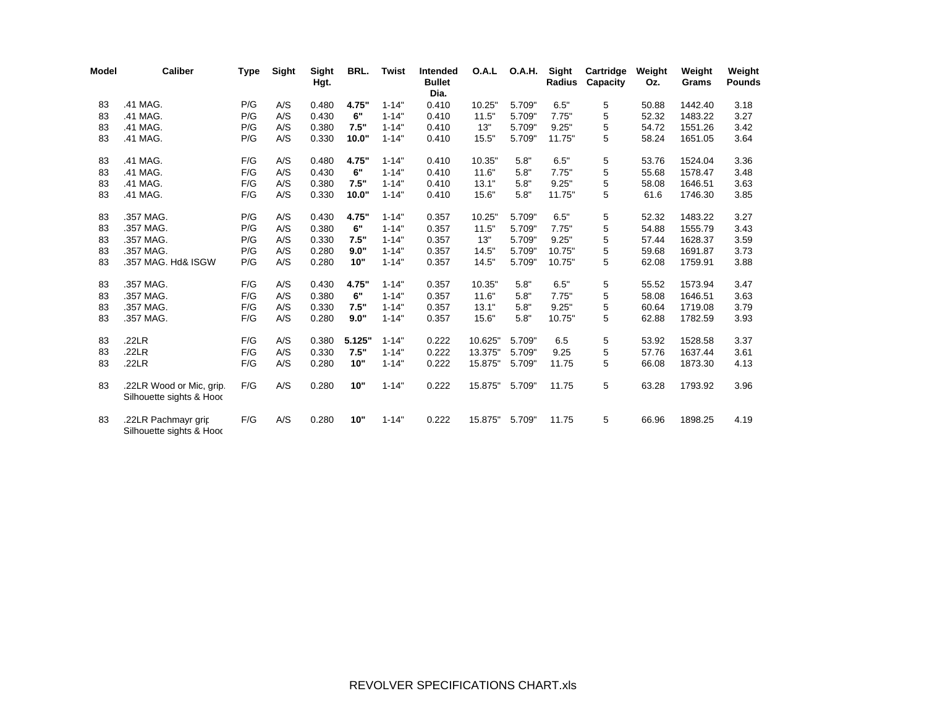| Model | Caliber                                              | Type | Sight | <b>Sight</b><br>Hgt. | BRL.   | Twist     | Intended<br><b>Bullet</b><br>Dia. | O.A.L   | <b>O.A.H.</b> | Sight<br>Radius | Cartridge<br>Capacity | Weight<br>Oz. | Weight<br>Grams | Weight<br><b>Pounds</b> |
|-------|------------------------------------------------------|------|-------|----------------------|--------|-----------|-----------------------------------|---------|---------------|-----------------|-----------------------|---------------|-----------------|-------------------------|
| 83    | .41 MAG.                                             | P/G  | A/S   | 0.480                | 4.75"  | $1 - 14"$ | 0.410                             | 10.25"  | 5.709"        | 6.5"            | 5                     | 50.88         | 1442.40         | 3.18                    |
| 83    | .41 MAG.                                             | P/G  | A/S   | 0.430                | 6"     | $1 - 14"$ | 0.410                             | 11.5"   | 5.709"        | 7.75"           | 5                     | 52.32         | 1483.22         | 3.27                    |
| 83    | .41 MAG.                                             | P/G  | A/S   | 0.380                | 7.5"   | $1 - 14"$ | 0.410                             | 13"     | 5.709"        | 9.25"           | 5                     | 54.72         | 1551.26         | 3.42                    |
| 83    | .41 MAG.                                             | P/G  | A/S   | 0.330                | 10.0"  | $1 - 14"$ | 0.410                             | 15.5"   | 5.709"        | 11.75"          | 5                     | 58.24         | 1651.05         | 3.64                    |
| 83    | .41 MAG.                                             | F/G  | A/S   | 0.480                | 4.75"  | $1 - 14"$ | 0.410                             | 10.35"  | 5.8"          | 6.5"            | 5                     | 53.76         | 1524.04         | 3.36                    |
| 83    | .41 MAG.                                             | F/G  | A/S   | 0.430                | 6"     | $1 - 14"$ | 0.410                             | 11.6"   | 5.8"          | 7.75"           | 5                     | 55.68         | 1578.47         | 3.48                    |
| 83    | .41 MAG.                                             | F/G  | A/S   | 0.380                | 7.5"   | $1 - 14"$ | 0.410                             | 13.1"   | 5.8"          | 9.25"           | 5                     | 58.08         | 1646.51         | 3.63                    |
| 83    | .41 MAG.                                             | F/G  | A/S   | 0.330                | 10.0"  | $1 - 14"$ | 0.410                             | 15.6"   | 5.8"          | 11.75"          | 5                     | 61.6          | 1746.30         | 3.85                    |
| 83    | .357 MAG.                                            | P/G  | A/S   | 0.430                | 4.75"  | $1 - 14"$ | 0.357                             | 10.25"  | 5.709"        | 6.5"            | 5                     | 52.32         | 1483.22         | 3.27                    |
| 83    | .357 MAG.                                            | P/G  | A/S   | 0.380                | 6"     | $1 - 14"$ | 0.357                             | 11.5"   | 5.709"        | 7.75"           | 5                     | 54.88         | 1555.79         | 3.43                    |
| 83    | .357 MAG.                                            | P/G  | A/S   | 0.330                | 7.5"   | $1 - 14"$ | 0.357                             | 13"     | 5.709"        | 9.25"           | 5                     | 57.44         | 1628.37         | 3.59                    |
| 83    | .357 MAG.                                            | P/G  | A/S   | 0.280                | 9.0"   | $1 - 14"$ | 0.357                             | 14.5"   | 5.709"        | 10.75"          | 5                     | 59.68         | 1691.87         | 3.73                    |
| 83    | .357 MAG. Hd& ISGW                                   | P/G  | A/S   | 0.280                | 10"    | $1 - 14"$ | 0.357                             | 14.5"   | 5.709"        | 10.75"          | 5                     | 62.08         | 1759.91         | 3.88                    |
| 83    | .357 MAG.                                            | F/G  | A/S   | 0.430                | 4.75"  | $1 - 14"$ | 0.357                             | 10.35"  | 5.8"          | 6.5"            | 5                     | 55.52         | 1573.94         | 3.47                    |
| 83    | .357 MAG.                                            | F/G  | A/S   | 0.380                | 6"     | $1 - 14"$ | 0.357                             | 11.6"   | 5.8"          | 7.75"           | 5                     | 58.08         | 1646.51         | 3.63                    |
| 83    | .357 MAG.                                            | F/G  | A/S   | 0.330                | 7.5"   | $1 - 14"$ | 0.357                             | 13.1"   | 5.8"          | 9.25"           | 5                     | 60.64         | 1719.08         | 3.79                    |
| 83    | .357 MAG.                                            | F/G  | A/S   | 0.280                | 9.0"   | $1 - 14"$ | 0.357                             | 15.6"   | 5.8"          | 10.75"          | 5                     | 62.88         | 1782.59         | 3.93                    |
| 83    | .22LR                                                | F/G  | A/S   | 0.380                | 5.125" | $1 - 14"$ | 0.222                             | 10.625" | 5.709"        | 6.5             | 5                     | 53.92         | 1528.58         | 3.37                    |
| 83    | .22LR                                                | F/G  | A/S   | 0.330                | 7.5"   | $1 - 14"$ | 0.222                             | 13.375" | 5.709"        | 9.25            | 5                     | 57.76         | 1637.44         | 3.61                    |
| 83    | .22LR                                                | F/G  | A/S   | 0.280                | 10"    | $1 - 14"$ | 0.222                             | 15.875" | 5.709"        | 11.75           | 5                     | 66.08         | 1873.30         | 4.13                    |
| 83    | .22LR Wood or Mic, grip.<br>Silhouette sights & Hood | F/G  | A/S   | 0.280                | 10"    | $1 - 14"$ | 0.222                             | 15.875" | 5.709"        | 11.75           | 5                     | 63.28         | 1793.92         | 3.96                    |
| 83    | .22LR Pachmayr grip<br>Silhouette sights & Hood      | F/G  | A/S   | 0.280                | 10"    | $1 - 14"$ | 0.222                             | 15.875" | 5.709"        | 11.75           | 5                     | 66.96         | 1898.25         | 4.19                    |